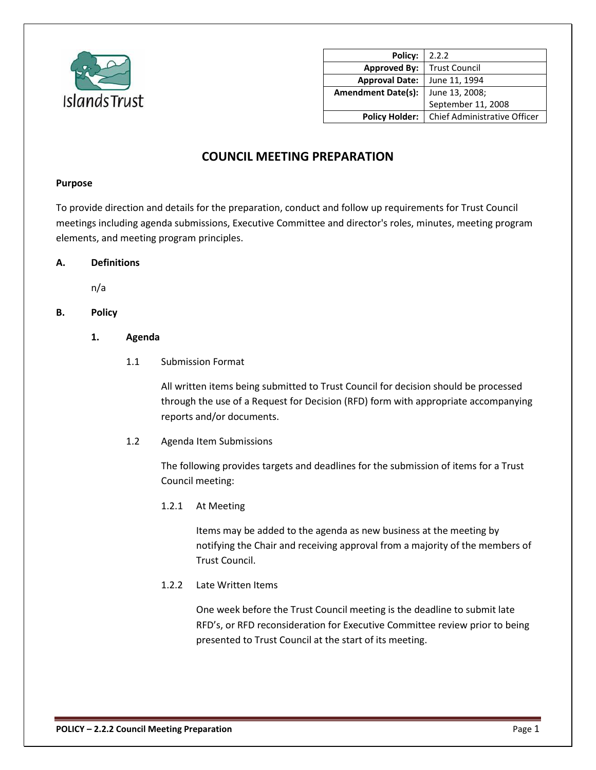

| 2.2.2                               |
|-------------------------------------|
| <b>Trust Council</b>                |
| June 11, 1994                       |
| June 13, 2008;                      |
| September 11, 2008                  |
| <b>Chief Administrative Officer</b> |
|                                     |

# **COUNCIL MEETING PREPARATION**

#### **Purpose**

To provide direction and details for the preparation, conduct and follow up requirements for Trust Council meetings including agenda submissions, Executive Committee and director's roles, minutes, meeting program elements, and meeting program principles.

# **A. Definitions**

n/a

# **B. Policy**

### **1. Agenda**

1.1 Submission Format

All written items being submitted to Trust Council for decision should be processed through the use of a Request for Decision (RFD) form with appropriate accompanying reports and/or documents.

1.2 Agenda Item Submissions

The following provides targets and deadlines for the submission of items for a Trust Council meeting:

1.2.1 At Meeting

Items may be added to the agenda as new business at the meeting by notifying the Chair and receiving approval from a majority of the members of Trust Council.

1.2.2 Late Written Items

One week before the Trust Council meeting is the deadline to submit late RFD's, or RFD reconsideration for Executive Committee review prior to being presented to Trust Council at the start of its meeting.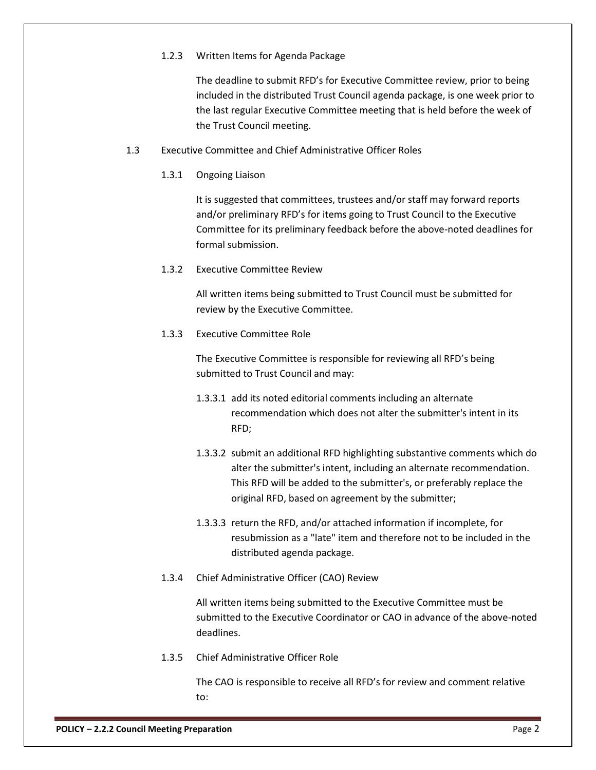## 1.2.3 Written Items for Agenda Package

The deadline to submit RFD's for Executive Committee review, prior to being included in the distributed Trust Council agenda package, is one week prior to the last regular Executive Committee meeting that is held before the week of the Trust Council meeting.

- 1.3 Executive Committee and Chief Administrative Officer Roles
	- 1.3.1 Ongoing Liaison

It is suggested that committees, trustees and/or staff may forward reports and/or preliminary RFD's for items going to Trust Council to the Executive Committee for its preliminary feedback before the above-noted deadlines for formal submission.

1.3.2 Executive Committee Review

All written items being submitted to Trust Council must be submitted for review by the Executive Committee.

1.3.3 Executive Committee Role

The Executive Committee is responsible for reviewing all RFD's being submitted to Trust Council and may:

- 1.3.3.1 add its noted editorial comments including an alternate recommendation which does not alter the submitter's intent in its RFD;
- 1.3.3.2 submit an additional RFD highlighting substantive comments which do alter the submitter's intent, including an alternate recommendation. This RFD will be added to the submitter's, or preferably replace the original RFD, based on agreement by the submitter;
- 1.3.3.3 return the RFD, and/or attached information if incomplete, for resubmission as a "late" item and therefore not to be included in the distributed agenda package.
- 1.3.4 Chief Administrative Officer (CAO) Review

All written items being submitted to the Executive Committee must be submitted to the Executive Coordinator or CAO in advance of the above-noted deadlines.

1.3.5 Chief Administrative Officer Role

The CAO is responsible to receive all RFD's for review and comment relative to: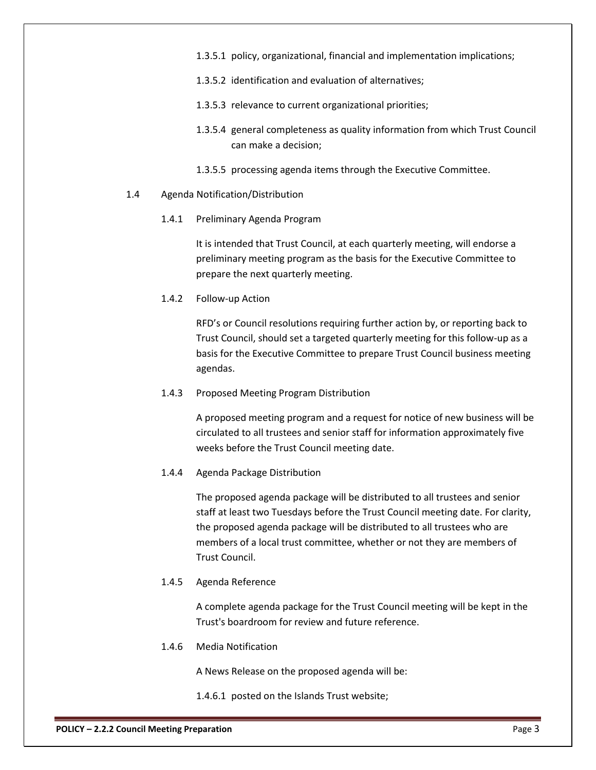- 1.3.5.1 policy, organizational, financial and implementation implications;
- 1.3.5.2 identification and evaluation of alternatives;
- 1.3.5.3 relevance to current organizational priorities;
- 1.3.5.4 general completeness as quality information from which Trust Council can make a decision;
- 1.3.5.5 processing agenda items through the Executive Committee.
- 1.4 Agenda Notification/Distribution
	- 1.4.1 Preliminary Agenda Program

It is intended that Trust Council, at each quarterly meeting, will endorse a preliminary meeting program as the basis for the Executive Committee to prepare the next quarterly meeting.

1.4.2 Follow-up Action

RFD's or Council resolutions requiring further action by, or reporting back to Trust Council, should set a targeted quarterly meeting for this follow-up as a basis for the Executive Committee to prepare Trust Council business meeting agendas.

1.4.3 Proposed Meeting Program Distribution

A proposed meeting program and a request for notice of new business will be circulated to all trustees and senior staff for information approximately five weeks before the Trust Council meeting date.

1.4.4 Agenda Package Distribution

The proposed agenda package will be distributed to all trustees and senior staff at least two Tuesdays before the Trust Council meeting date. For clarity, the proposed agenda package will be distributed to all trustees who are members of a local trust committee, whether or not they are members of Trust Council.

1.4.5 Agenda Reference

A complete agenda package for the Trust Council meeting will be kept in the Trust's boardroom for review and future reference.

1.4.6 Media Notification

A News Release on the proposed agenda will be:

1.4.6.1 posted on the Islands Trust website;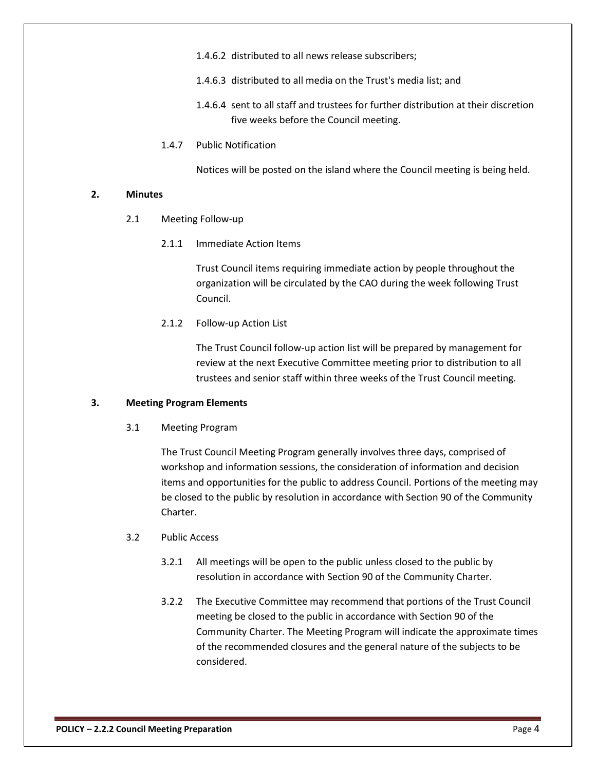- 1.4.6.2 distributed to all news release subscribers;
- 1.4.6.3 distributed to all media on the Trust's media list; and
- 1.4.6.4 sent to all staff and trustees for further distribution at their discretion five weeks before the Council meeting.
- 1.4.7 Public Notification

Notices will be posted on the island where the Council meeting is being held.

### **2. Minutes**

- 2.1 Meeting Follow-up
	- 2.1.1 Immediate Action Items

Trust Council items requiring immediate action by people throughout the organization will be circulated by the CAO during the week following Trust Council.

2.1.2 Follow-up Action List

The Trust Council follow-up action list will be prepared by management for review at the next Executive Committee meeting prior to distribution to all trustees and senior staff within three weeks of the Trust Council meeting.

#### **3. Meeting Program Elements**

3.1 Meeting Program

The Trust Council Meeting Program generally involves three days, comprised of workshop and information sessions, the consideration of information and decision items and opportunities for the public to address Council. Portions of the meeting may be closed to the public by resolution in accordance with Section 90 of the Community Charter.

#### 3.2 Public Access

- 3.2.1 All meetings will be open to the public unless closed to the public by resolution in accordance with Section 90 of the Community Charter.
- 3.2.2 The Executive Committee may recommend that portions of the Trust Council meeting be closed to the public in accordance with Section 90 of the Community Charter. The Meeting Program will indicate the approximate times of the recommended closures and the general nature of the subjects to be considered.